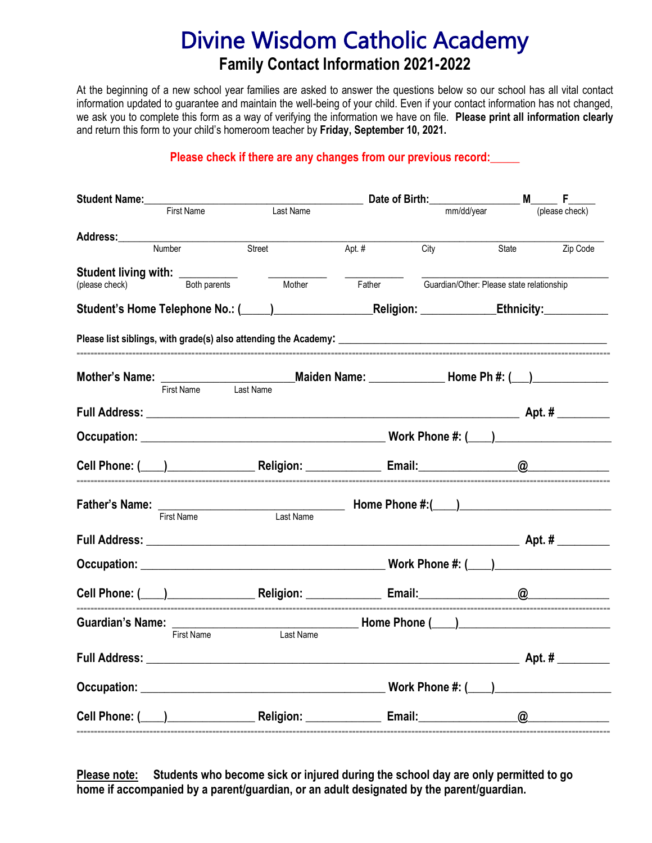## Divine Wisdom Catholic Academy **Family Contact Information 2021-2022**

At the beginning of a new school year families are asked to answer the questions below so our school has all vital contact information updated to guarantee and maintain the well-being of your child. Even if your contact information has not changed, we ask you to complete this form as a way of verifying the information we have on file. **Please print all information clearly** and return this form to your child's homeroom teacher by **Friday, September 10, 2021.**

## **Please check if there are any changes from our previous record:\_\_\_\_\_**

| Student Name:___                                                                                                                                                                                                             |            |                                                                                                                                                                                                                                | Date of Birth:                                                                                      |            |  |                                           |  |
|------------------------------------------------------------------------------------------------------------------------------------------------------------------------------------------------------------------------------|------------|--------------------------------------------------------------------------------------------------------------------------------------------------------------------------------------------------------------------------------|-----------------------------------------------------------------------------------------------------|------------|--|-------------------------------------------|--|
|                                                                                                                                                                                                                              | First Name | Last Name                                                                                                                                                                                                                      |                                                                                                     | mm/dd/year |  | (please check)                            |  |
|                                                                                                                                                                                                                              |            |                                                                                                                                                                                                                                |                                                                                                     |            |  |                                           |  |
|                                                                                                                                                                                                                              | Number     | Street                                                                                                                                                                                                                         | Apt. #                                                                                              | City       |  | State<br>Zip Code                         |  |
| Student living with: _________                                                                                                                                                                                               |            |                                                                                                                                                                                                                                |                                                                                                     |            |  |                                           |  |
| Both parents<br>(please check)                                                                                                                                                                                               |            | Mother                                                                                                                                                                                                                         |                                                                                                     | Father     |  | Guardian/Other: Please state relationship |  |
|                                                                                                                                                                                                                              |            |                                                                                                                                                                                                                                | Student's Home Telephone No.: (1998) [2012 [2013] Religion: Religion: _____________________________ |            |  |                                           |  |
|                                                                                                                                                                                                                              |            |                                                                                                                                                                                                                                |                                                                                                     |            |  |                                           |  |
|                                                                                                                                                                                                                              |            |                                                                                                                                                                                                                                |                                                                                                     |            |  |                                           |  |
|                                                                                                                                                                                                                              |            |                                                                                                                                                                                                                                |                                                                                                     |            |  |                                           |  |
|                                                                                                                                                                                                                              |            |                                                                                                                                                                                                                                |                                                                                                     |            |  |                                           |  |
|                                                                                                                                                                                                                              |            |                                                                                                                                                                                                                                |                                                                                                     |            |  |                                           |  |
|                                                                                                                                                                                                                              |            | Cell Phone: (Call Phone: Compared to the Religion: Call Compared to Email: Call Compared to Compared the Religion: Call Compared to Compared the Compared to Compared the Compared to Compared the Compared to Compared the Co |                                                                                                     |            |  |                                           |  |
|                                                                                                                                                                                                                              |            |                                                                                                                                                                                                                                |                                                                                                     |            |  |                                           |  |
|                                                                                                                                                                                                                              | First Name | Last Name                                                                                                                                                                                                                      |                                                                                                     |            |  |                                           |  |
|                                                                                                                                                                                                                              |            |                                                                                                                                                                                                                                |                                                                                                     |            |  |                                           |  |
|                                                                                                                                                                                                                              |            |                                                                                                                                                                                                                                |                                                                                                     |            |  |                                           |  |
|                                                                                                                                                                                                                              |            |                                                                                                                                                                                                                                |                                                                                                     |            |  |                                           |  |
| Guardian's Name: First Name Last Name <b>Home Phone</b> ( <b>Cast Name</b> Last Name <b>Hone</b> Phone ( <b>Cast Name</b> Last Name <b>Hone</b> Phone ( <b>Cast Name</b> Last Name <b>Hone</b> Phone ( <b>Cast Name</b> 2014 |            |                                                                                                                                                                                                                                |                                                                                                     |            |  |                                           |  |
|                                                                                                                                                                                                                              |            |                                                                                                                                                                                                                                |                                                                                                     |            |  |                                           |  |
|                                                                                                                                                                                                                              |            |                                                                                                                                                                                                                                |                                                                                                     |            |  |                                           |  |
|                                                                                                                                                                                                                              |            |                                                                                                                                                                                                                                |                                                                                                     |            |  |                                           |  |
|                                                                                                                                                                                                                              |            |                                                                                                                                                                                                                                |                                                                                                     |            |  |                                           |  |

**Please note: Students who become sick or injured during the school day are only permitted to go home if accompanied by a parent/guardian, or an adult designated by the parent/guardian.**